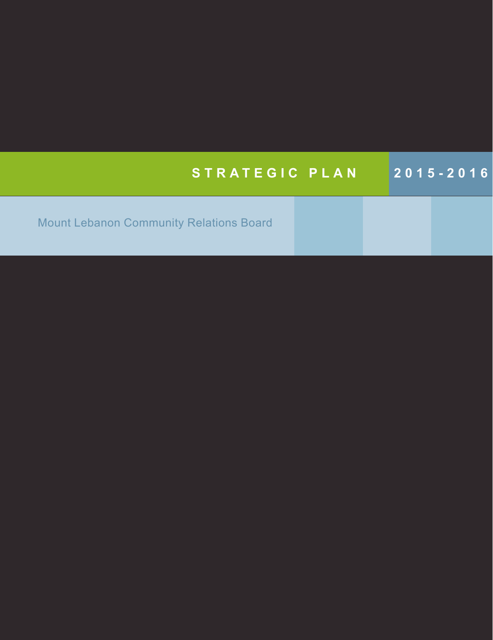| STRATEGIC PLAN                                 |  | 2015-2016 |  |
|------------------------------------------------|--|-----------|--|
| <b>Mount Lebanon Community Relations Board</b> |  |           |  |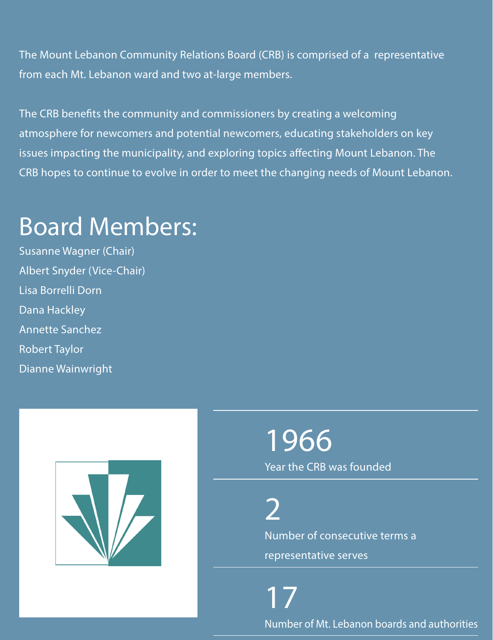The Mount Lebanon Community Relations Board (CRB) is comprised of a representative from each Mt. Lebanon ward and two at-large members.

The CRB benefits the community and commissioners by creating a welcoming atmosphere for newcomers and potential newcomers, educating stakeholders on key issues impacting the municipality, and exploring topics affecting Mount Lebanon. The CRB hopes to continue to evolve in order to meet the changing needs of Mount Lebanon.

#### Board Members:

Susanne Wagner (Chair) Albert Snyder (Vice-Chair) Lisa Borrelli Dorn Dana Hackley Annette Sanchez Robert Taylor Dianne Wainwright



1966 Year the CRB was founded

2 Number of consecutive terms a representative serves

17 Number of Mt. Lebanon boards and authorities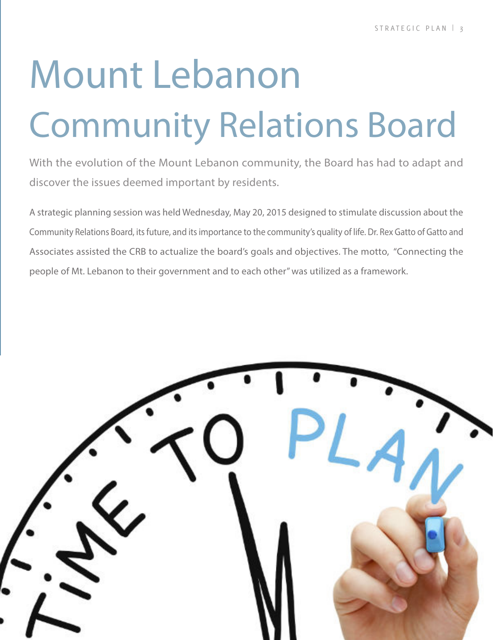# Mount Lebanon Community Relations Board

With the evolution of the Mount Lebanon community, the Board has had to adapt and discover the issues deemed important by residents.

A strategic planning session was held Wednesday, May 20, 2015 designed to stimulate discussion about the Community Relations Board, its future, and its importance to the community's quality of life. Dr. Rex Gatto of Gatto and Associates assisted the CRB to actualize the board's goals and objectives. The motto, "Connecting the people of Mt. Lebanon to their government and to each other" was utilized as a framework.

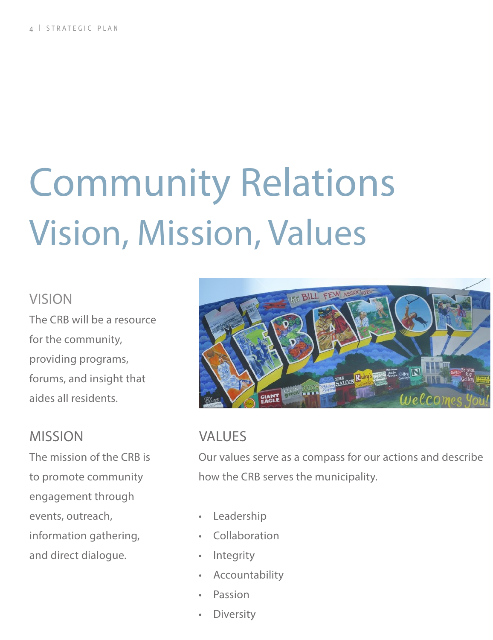# Community Relations Vision, Mission, Values

#### VISION

The CRB will be a resource for the community, providing programs, forums, and insight that aides all residents.

#### MISSION

The mission of the CRB is to promote community engagement through events, outreach, information gathering, and direct dialogue.



#### VALUES

Our values serve as a compass for our actions and describe how the CRB serves the municipality.

- Leadership
- **Collaboration**
- **Integrity**
- **Accountability**
- Passion
- **Diversity**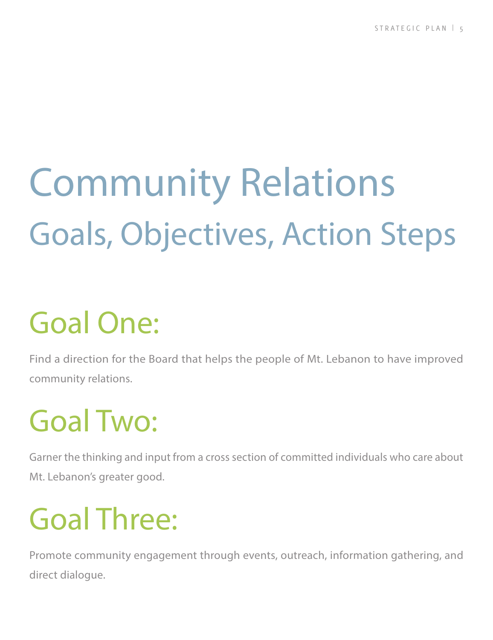## Community Relations Goals, Objectives, Action Steps

### Goal One:

Find a direction for the Board that helps the people of Mt. Lebanon to have improved community relations.

### Goal Two:

Garner the thinking and input from a cross section of committed individuals who care about Mt. Lebanon's greater good.

### Goal Three:

Promote community engagement through events, outreach, information gathering, and direct dialogue.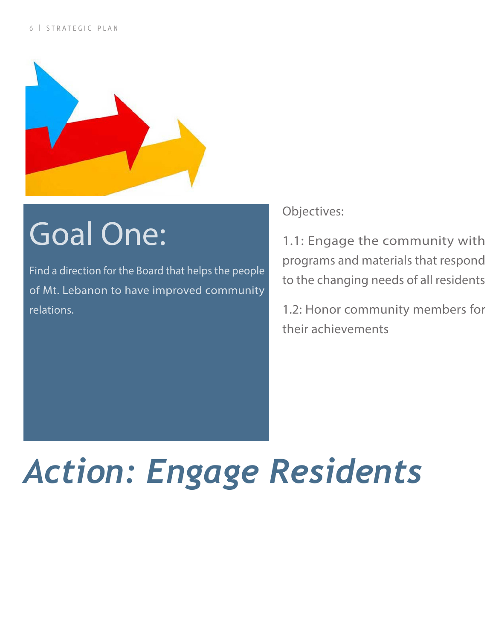

#### Goal One:

Find a direction for the Board that helps the people of Mt. Lebanon to have improved community relations.

#### Objectives:

1.1: Engage the community with programs and materials that respond to the changing needs of all residents

1.2: Honor community members for their achievements

## *Action: Engage Residents*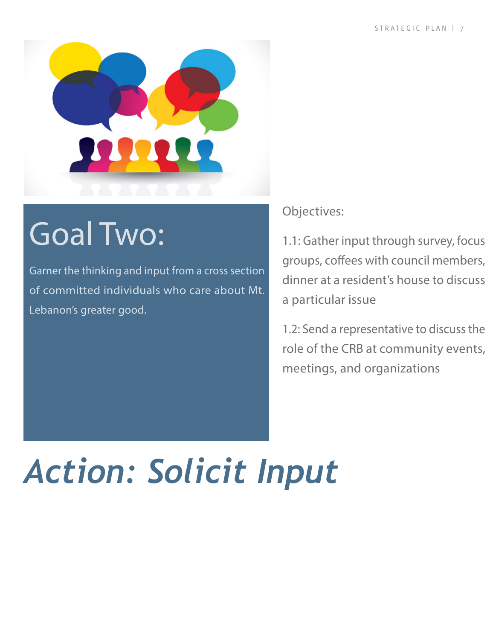

#### Goal Two:

Garner the thinking and input from a cross section of committed individuals who care about Mt. Lebanon's greater good.

#### Objectives:

1.1: Gather input through survey, focus groups, coffees with council members, dinner at a resident's house to discuss a particular issue

1.2: Send a representative to discuss the role of the CRB at community events, meetings, and organizations

## *Action: Solicit Input*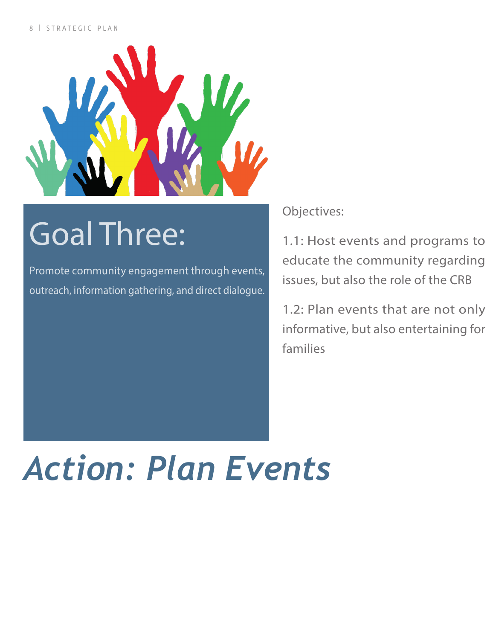#### 8 | STRATEGIC PLAN



### Goal Three:

Promote community engagement through events, outreach, information gathering, and direct dialogue. Objectives:

1.1: Host events and programs to educate the community regarding issues, but also the role of the CRB

1.2: Plan events that are not only informative, but also entertaining for families

### *Action: Plan Events*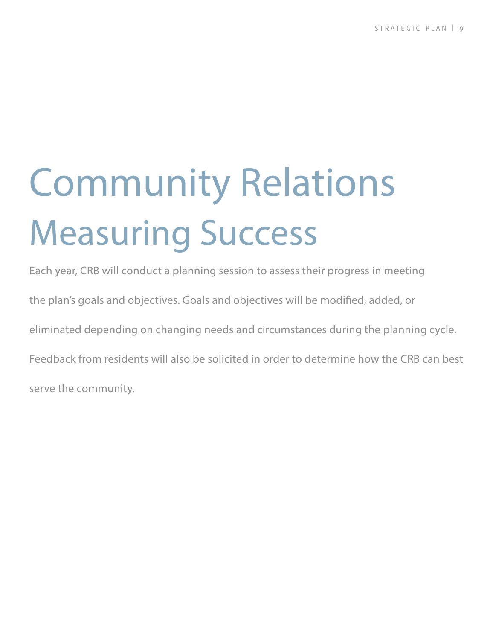## Community Relations Measuring Success

Each year, CRB will conduct a planning session to assess their progress in meeting the plan's goals and objectives. Goals and objectives will be modified, added, or eliminated depending on changing needs and circumstances during the planning cycle. Feedback from residents will also be solicited in order to determine how the CRB can best serve the community.